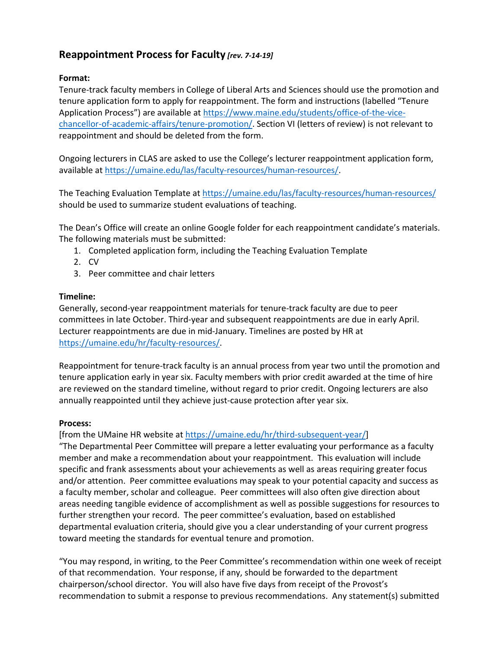## **Reappointment Process for Faculty** *[rev. 7-14-19]*

## **Format:**

Tenure-track faculty members in College of Liberal Arts and Sciences should use the promotion and tenure application form to apply for reappointment. The form and instructions (labelled "Tenure Application Process") are available at [https://www.maine.edu/students/office-of-the-vice](https://www.maine.edu/students/office-of-the-vice-chancellor-of-academic-affairs/tenure-promotion/)[chancellor-of-academic-affairs/tenure-promotion/.](https://www.maine.edu/students/office-of-the-vice-chancellor-of-academic-affairs/tenure-promotion/) Section VI (letters of review) is not relevant to reappointment and should be deleted from the form.

Ongoing lecturers in CLAS are asked to use the College's lecturer reappointment application form, available at [https://umaine.edu/las/faculty-resources/human-resources/.](https://umaine.edu/las/faculty-resources/human-resources/)

The Teaching Evaluation Template at<https://umaine.edu/las/faculty-resources/human-resources/> should be used to summarize student evaluations of teaching.

The Dean's Office will create an online Google folder for each reappointment candidate's materials. The following materials must be submitted:

- 1. Completed application form, including the Teaching Evaluation Template
- 2. CV
- 3. Peer committee and chair letters

## **Timeline:**

Generally, second-year reappointment materials for tenure-track faculty are due to peer committees in late October. Third-year and subsequent reappointments are due in early April. Lecturer reappointments are due in mid-January. Timelines are posted by HR at [https://umaine.edu/hr/faculty-resources/.](https://umaine.edu/hr/faculty-resources/)

Reappointment for tenure-track faculty is an annual process from year two until the promotion and tenure application early in year six. Faculty members with prior credit awarded at the time of hire are reviewed on the standard timeline, without regard to prior credit. Ongoing lecturers are also annually reappointed until they achieve just-cause protection after year six.

## **Process:**

[from the UMaine HR website at [https://umaine.edu/hr/third-subsequent-year/\]](https://umaine.edu/hr/third-subsequent-year/)

"The Departmental Peer Committee will prepare a letter evaluating your performance as a faculty member and make a recommendation about your reappointment. This evaluation will include specific and frank assessments about your achievements as well as areas requiring greater focus and/or attention. Peer committee evaluations may speak to your potential capacity and success as a faculty member, scholar and colleague. Peer committees will also often give direction about areas needing tangible evidence of accomplishment as well as possible suggestions for resources to further strengthen your record. The peer committee's evaluation, based on established departmental evaluation criteria, should give you a clear understanding of your current progress toward meeting the standards for eventual tenure and promotion.

"You may respond, in writing, to the Peer Committee's recommendation within one week of receipt of that recommendation. Your response, if any, should be forwarded to the department chairperson/school director. You will also have five days from receipt of the Provost's recommendation to submit a response to previous recommendations. Any statement(s) submitted